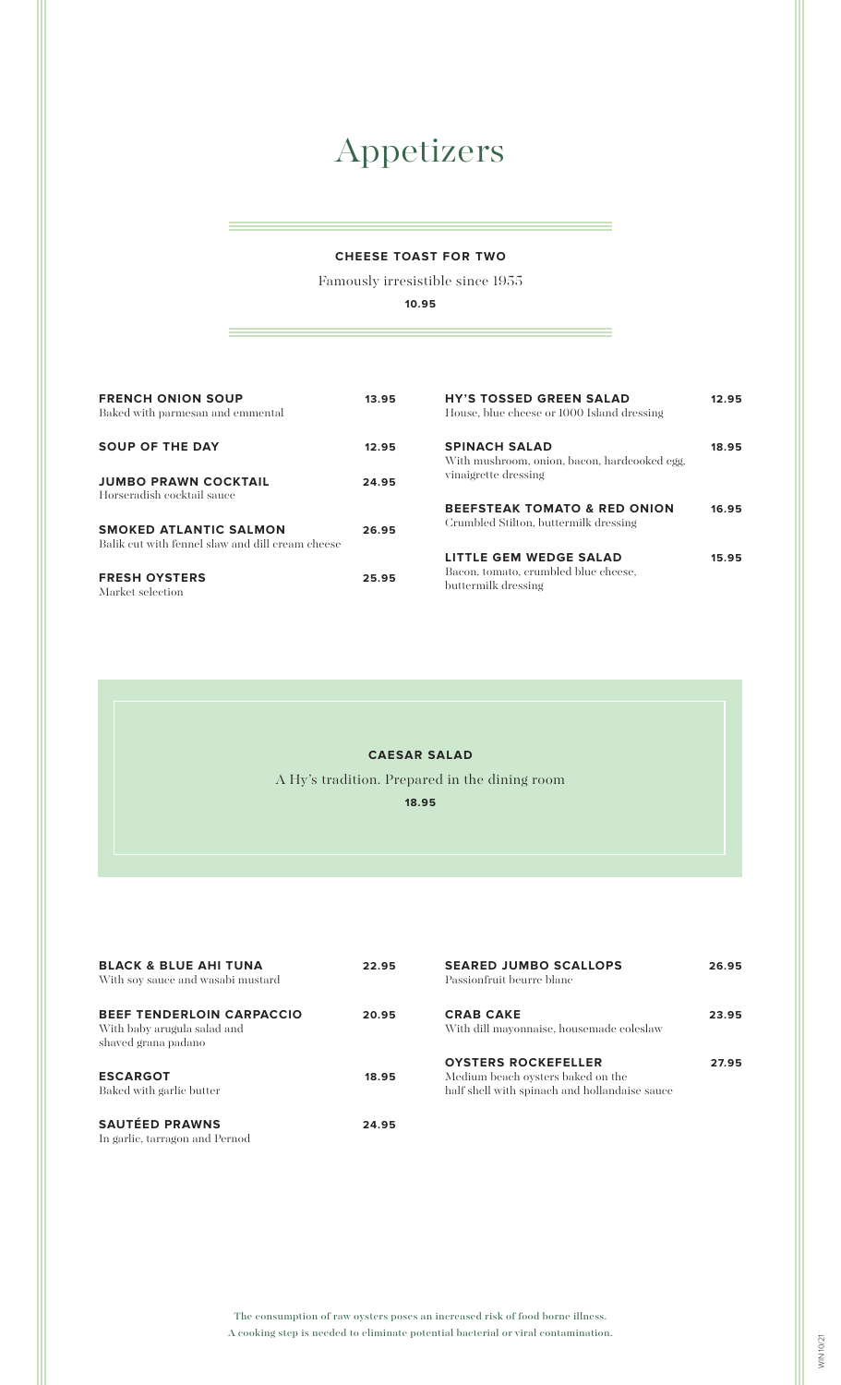# Appetizers

#### **CHEESE TOAST FOR TWO**

Famously irresistible since 1955

**10.95**

| <b>FRENCH ONION SOUP</b><br>Baked with parmesan and emmental                      | 13.95 | <b>HY'S TOSSED GREEN SALAD</b><br>House, blue cheese or 1000 Island dressing          | 12.95 |
|-----------------------------------------------------------------------------------|-------|---------------------------------------------------------------------------------------|-------|
| <b>SOUP OF THE DAY</b>                                                            | 12.95 | <b>SPINACH SALAD</b><br>With mushroom, onion, bacon, hardcooked egg,                  | 18.95 |
| <b>JUMBO PRAWN COCKTAIL</b><br>Horseradish cocktail sauce                         | 24.95 | vinaigrette dressing                                                                  |       |
| <b>SMOKED ATLANTIC SALMON</b><br>Balik cut with fennel slaw and dill cream cheese | 26.95 | <b>BEEFSTEAK TOMATO &amp; RED ONION</b><br>Crumbled Stilton, buttermilk dressing      | 16.95 |
| <b>FRESH OYSTERS</b><br>Market selection                                          | 25.95 | LITTLE GEM WEDGE SALAD<br>Bacon, tomato, erumbled blue cheese,<br>buttermilk dressing | 15.95 |

#### **CAESAR SALAD**

A Hy's tradition. Prepared in the dining room

**18.95**

| <b>BLACK &amp; BLUE AHI TUNA</b><br>With soy sauce and wasabi mustard                  | 22.95 | <b>SEARED JUMBO SCALLOPS</b><br>Passionfruit beurre blanc                                                        | 26.95 |
|----------------------------------------------------------------------------------------|-------|------------------------------------------------------------------------------------------------------------------|-------|
| <b>BEEF TENDERLOIN CARPACCIO</b><br>With baby arugula salad and<br>shaved grana padano | 20.95 | <b>CRAB CAKE</b><br>With dill mayonnaise, housemade coleslaw                                                     | 23.95 |
| <b>ESCARGOT</b><br>Baked with garlic butter                                            | 18.95 | <b>OYSTERS ROCKEFELLER</b><br>Medium beach ovsters baked on the<br>half shell with spinach and hollandaise sauce | 27.95 |
| <b>SAUTÉED PRAWNS</b><br>In garlic, tarragon and Pernod                                | 24.95 |                                                                                                                  |       |

The consumption of raw oysters poses an increased risk of food borne illness. A cooking step is needed to eliminate potential bacterial or viral contamination.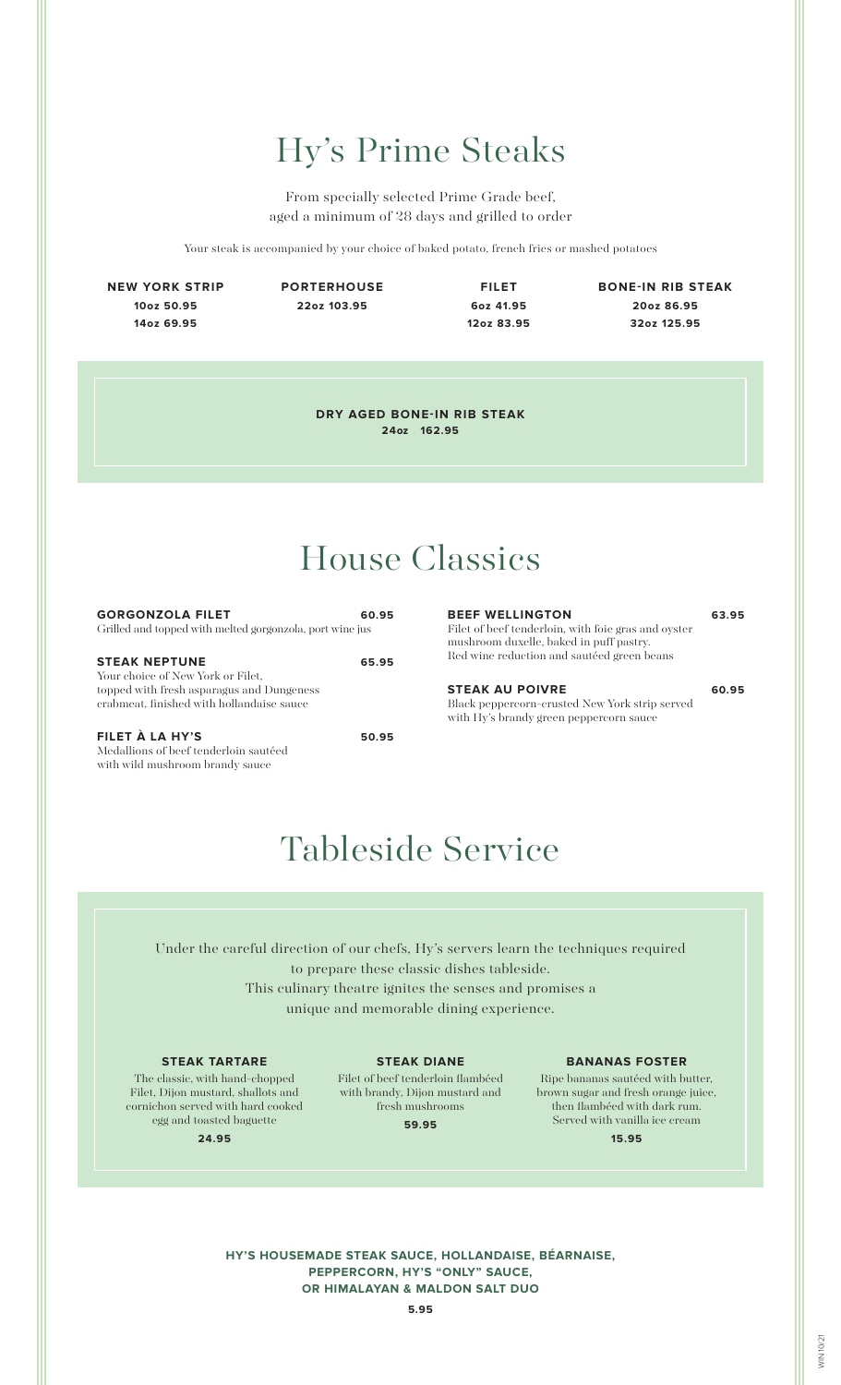## Hy's Prime Steaks

From specially selected Prime Grade beef, aged a minimum of 28 days and grilled to order

Your steak is accompanied by your choice of baked potato, french fries or mashed potatoes

**NEW YORK STRIP 10oz 50.95 14oz 69.95**

**PORTERHOUSE 22oz 103.95**

**FILET 6oz 41.95 12oz 83.95**

**BONE-IN RIB STEAK 20oz 86.95 32oz 125.95**

**DRY AGED BONE-IN RIB STEAK 24oz 162.95**

### House Classics

| <b>GORGONZOLA FILET</b><br>Grilled and topped with melted gorgonzola, port wine jus                                                                 | 60.95 |
|-----------------------------------------------------------------------------------------------------------------------------------------------------|-------|
| <b>STEAK NEPTUNE</b><br>Your choice of New York or Filet,<br>topped with fresh asparagus and Dungeness<br>crabmeat, finished with hollandaise sauce | 65.95 |

**FILET À LA HY'S 50.95** Medallions of beef tenderloin sautéed with wild mushroom brandy sauce

#### **BEEF WELLINGTON 63.95** Filet of beef tenderloin, with foie gras and oyster mushroom duxelle, baked in puff pastry.

Red wine reduction and sautéed green beans

#### **STEAK AU POIVRE 60.95**

Black peppercorn-crusted New York strip served with Hy's brandy green peppercorn sauce

### Tableside Service

Under the careful direction of our chefs, Hy's servers learn the techniques required to prepare these classic dishes tableside. This culinary theatre ignites the senses and promises a unique and memorable dining experience.

#### **STEAK TARTARE**

The classic, with hand-chopped Filet, Dijon mustard, shallots and cornichon served with hard cooked egg and toasted baguette

**STEAK DIANE**

Filet of beef tenderloin flambéed with brandy, Dijon mustard and fresh mushrooms

**59.95**

#### **BANANAS FOSTER**

Ripe bananas sautéed with butter, brown sugar and fresh orange juice, then flambéed with dark rum. Served with vanilla ice cream **15.95**

**24.95**

**HY'S HOUSEMADE STEAK SAUCE, HOLLANDAISE, BÉARNAISE, PEPPERCORN, HY'S "ONLY" SAUCE, OR HIMALAYAN & MALDON SALT DUO**